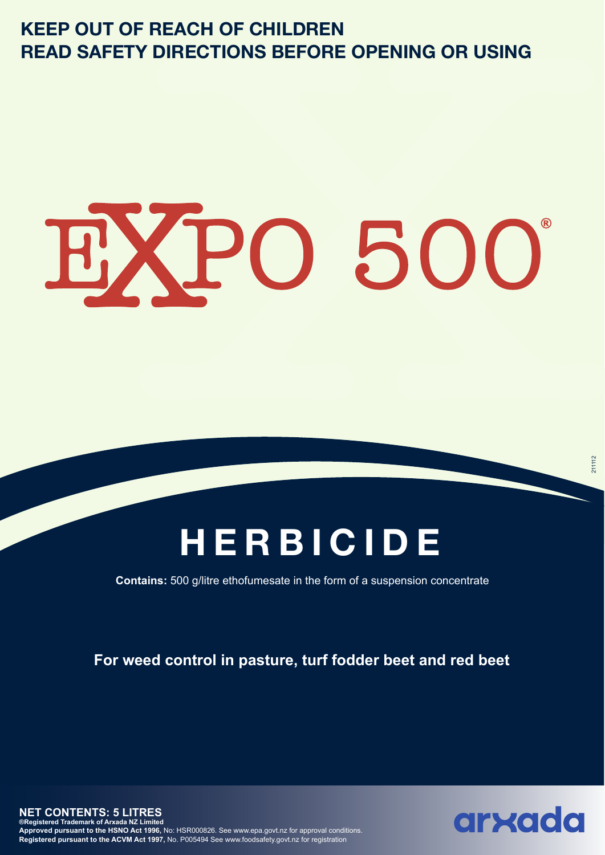### **KEEP OUT OF REACH OF CHILDREN READ SAFETY DIRECTIONS BEFORE OPENING OR USING**

# EXPO 500

## **HERBICIDE**

**Contains:** 500 g/litre ethofumesate in the form of a suspension concentrate

**For weed control in pasture, turf fodder beet and red beet**

**NET CONTENTS: 5 LITRES ®Registered Trademark of Arxada NZ Limited Approved pursuant to the HSNO Act 1996,** No: HSR000826. See www.epa.govt.nz for approval conditions. **Registered pursuant to the ACVM Act 1997,** No. P005494 See www.foodsafety.govt.nz for registration